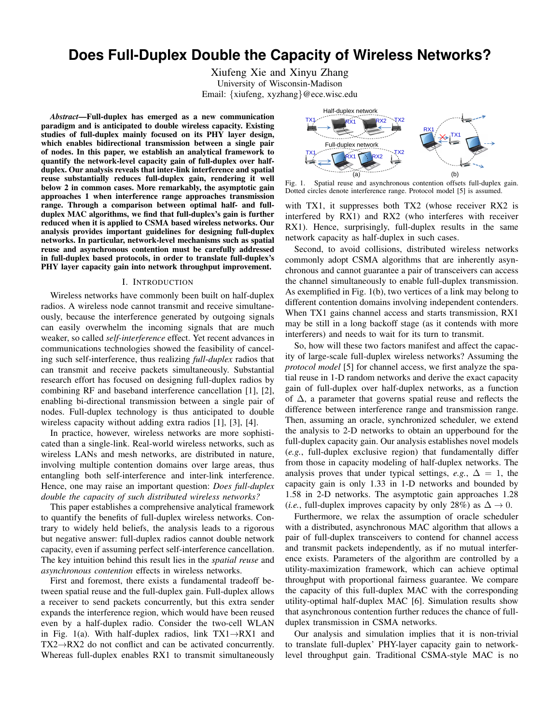# **Does Full-Duplex Double the Capacity of Wireless Networks?**

Xiufeng Xie and Xinyu Zhang University of Wisconsin-Madison Email: {xiufeng, xyzhang}@ece.wisc.edu

*Abstract*—Full-duplex has emerged as a new communication paradigm and is anticipated to double wireless capacity. Existing studies of full-duplex mainly focused on its PHY layer design, which enables bidirectional transmission between a single pair of nodes. In this paper, we establish an analytical framework to quantify the network-level capacity gain of full-duplex over halfduplex. Our analysis reveals that inter-link interference and spatial reuse substantially reduces full-duplex gain, rendering it well below 2 in common cases. More remarkably, the asymptotic gain approaches 1 when interference range approaches transmission range. Through a comparison between optimal half- and fullduplex MAC algorithms, we find that full-duplex's gain is further reduced when it is applied to CSMA based wireless networks. Our analysis provides important guidelines for designing full-duplex networks. In particular, network-level mechanisms such as spatial reuse and asynchronous contention must be carefully addressed in full-duplex based protocols, in order to translate full-duplex's PHY layer capacity gain into network throughput improvement.

# I. INTRODUCTION

Wireless networks have commonly been built on half-duplex radios. A wireless node cannot transmit and receive simultaneously, because the interference generated by outgoing signals can easily overwhelm the incoming signals that are much weaker, so called *self-interference* effect. Yet recent advances in communications technologies showed the feasibility of canceling such self-interference, thus realizing *full-duplex* radios that can transmit and receive packets simultaneously. Substantial research effort has focused on designing full-duplex radios by combining RF and baseband interference cancellation [1], [2], enabling bi-directional transmission between a single pair of nodes. Full-duplex technology is thus anticipated to double wireless capacity without adding extra radios [1], [3], [4].

In practice, however, wireless networks are more sophisticated than a single-link. Real-world wireless networks, such as wireless LANs and mesh networks, are distributed in nature, involving multiple contention domains over large areas, thus entangling both self-interference and inter-link interference. Hence, one may raise an important question: *Does full-duplex double the capacity of such distributed wireless networks?*

This paper establishes a comprehensive analytical framework to quantify the benefits of full-duplex wireless networks. Contrary to widely held beliefs, the analysis leads to a rigorous but negative answer: full-duplex radios cannot double network capacity, even if assuming perfect self-interference cancellation. The key intuition behind this result lies in the *spatial reuse* and *asynchronous contention* effects in wireless networks.

First and foremost, there exists a fundamental tradeoff between spatial reuse and the full-duplex gain. Full-duplex allows a receiver to send packets concurrently, but this extra sender expands the interference region, which would have been reused even by a half-duplex radio. Consider the two-cell WLAN in Fig. 1(a). With half-duplex radios, link  $TX1 \rightarrow RX1$  and  $TX2 \rightarrow RX2$  do not conflict and can be activated concurrently. Whereas full-duplex enables RX1 to transmit simultaneously



Fig. 1. Spatial reuse and asynchronous contention offsets full-duplex gain. Dotted circles denote interference range. Protocol model [5] is assumed.

with TX1, it suppresses both TX2 (whose receiver RX2 is interfered by RX1) and RX2 (who interferes with receiver RX1). Hence, surprisingly, full-duplex results in the same network capacity as half-duplex in such cases.

Second, to avoid collisions, distributed wireless networks commonly adopt CSMA algorithms that are inherently asynchronous and cannot guarantee a pair of transceivers can access the channel simultaneously to enable full-duplex transmission. As exemplified in Fig. 1(b), two vertices of a link may belong to different contention domains involving independent contenders. When TX1 gains channel access and starts transmission, RX1 may be still in a long backoff stage (as it contends with more interferers) and needs to wait for its turn to transmit.

So, how will these two factors manifest and affect the capacity of large-scale full-duplex wireless networks? Assuming the *protocol model* [5] for channel access, we first analyze the spatial reuse in 1-D random networks and derive the exact capacity gain of full-duplex over half-duplex networks, as a function of ∆, a parameter that governs spatial reuse and reflects the difference between interference range and transmission range. Then, assuming an oracle, synchronized scheduler, we extend the analysis to 2-D networks to obtain an upperbound for the full-duplex capacity gain. Our analysis establishes novel models (*e.g.*, full-duplex exclusive region) that fundamentally differ from those in capacity modeling of half-duplex networks. The analysis proves that under typical settings, *e.g.*,  $\Delta = 1$ , the capacity gain is only 1.33 in 1-D networks and bounded by 1.58 in 2-D networks. The asymptotic gain approaches 1.28 (*i.e.*, full-duplex improves capacity by only 28%) as  $\Delta \rightarrow 0$ .

Furthermore, we relax the assumption of oracle scheduler with a distributed, asynchronous MAC algorithm that allows a pair of full-duplex transceivers to contend for channel access and transmit packets independently, as if no mutual interference exists. Parameters of the algorithm are controlled by a utility-maximization framework, which can achieve optimal throughput with proportional fairness guarantee. We compare the capacity of this full-duplex MAC with the corresponding utility-optimal half-duplex MAC [6]. Simulation results show that asynchronous contention further reduces the chance of fullduplex transmission in CSMA networks.

Our analysis and simulation implies that it is non-trivial to translate full-duplex' PHY-layer capacity gain to networklevel throughput gain. Traditional CSMA-style MAC is no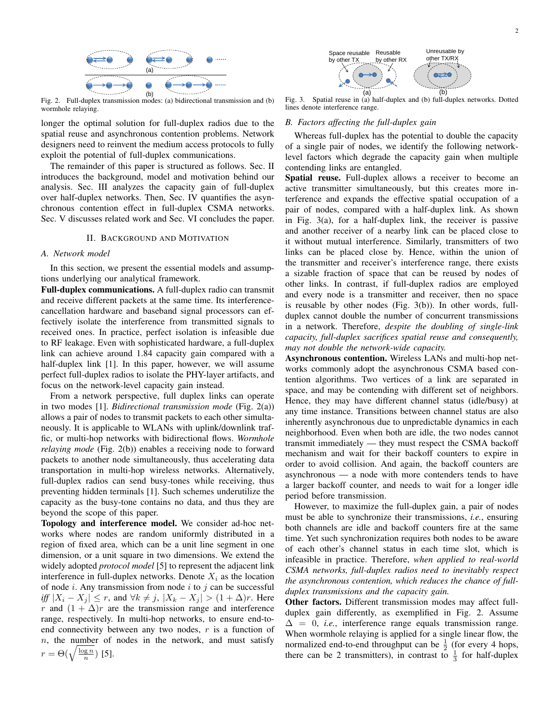

Fig. 2. Full-duplex transmission modes: (a) bidirectional transmission and (b) wormhole relaying.

longer the optimal solution for full-duplex radios due to the spatial reuse and asynchronous contention problems. Network designers need to reinvent the medium access protocols to fully exploit the potential of full-duplex communications.

The remainder of this paper is structured as follows. Sec. II introduces the background, model and motivation behind our analysis. Sec. III analyzes the capacity gain of full-duplex over half-duplex networks. Then, Sec. IV quantifies the asynchronous contention effect in full-duplex CSMA networks. Sec. V discusses related work and Sec. VI concludes the paper.

# II. BACKGROUND AND MOTIVATION

#### *A. Network model*

In this section, we present the essential models and assumptions underlying our analytical framework.

Full-duplex communications. A full-duplex radio can transmit and receive different packets at the same time. Its interferencecancellation hardware and baseband signal processors can effectively isolate the interference from transmitted signals to received ones. In practice, perfect isolation is infeasible due to RF leakage. Even with sophisticated hardware, a full-duplex link can achieve around 1.84 capacity gain compared with a half-duplex link [1]. In this paper, however, we will assume perfect full-duplex radios to isolate the PHY-layer artifacts, and focus on the network-level capacity gain instead.

From a network perspective, full duplex links can operate in two modes [1]. *Bidirectional transmission mode* (Fig. 2(a)) allows a pair of nodes to transmit packets to each other simultaneously. It is applicable to WLANs with uplink/downlink traffic, or multi-hop networks with bidirectional flows. *Wormhole relaying mode* (Fig. 2(b)) enables a receiving node to forward packets to another node simultaneously, thus accelerating data transportation in multi-hop wireless networks. Alternatively, full-duplex radios can send busy-tones while receiving, thus preventing hidden terminals [1]. Such schemes underutilize the capacity as the busy-tone contains no data, and thus they are beyond the scope of this paper.

Topology and interference model. We consider ad-hoc networks where nodes are random uniformly distributed in a region of fixed area, which can be a unit line segment in one dimension, or a unit square in two dimensions. We extend the widely adopted *protocol model* [5] to represent the adjacent link interference in full-duplex networks. Denote  $X_i$  as the location of node *i*. Any transmission from node *i* to *j* can be successful *iff*  $|X_i - X_j| \leq r$ , and  $\forall k \neq j$ ,  $|X_k - X_j| > (1 + \Delta)r$ . Here r and  $(1 + \Delta)r$  are the transmission range and interference range, respectively. In multi-hop networks, to ensure end-toend connectivity between any two nodes,  $r$  is a function of  $n$ , the number of nodes in the network, and must satisfy  $r = \Theta(\sqrt{\frac{\log n}{n}})$  [5].



(a) (b) Fig. 3. Spatial reuse in (a) half-duplex and (b) full-duplex networks. Dotted lines denote interference range.

## *B. Factors affecting the full-duplex gain*

Whereas full-duplex has the potential to double the capacity of a single pair of nodes, we identify the following networklevel factors which degrade the capacity gain when multiple contending links are entangled.

Spatial reuse. Full-duplex allows a receiver to become an active transmitter simultaneously, but this creates more interference and expands the effective spatial occupation of a pair of nodes, compared with a half-duplex link. As shown in Fig. 3(a), for a half-duplex link, the receiver is passive and another receiver of a nearby link can be placed close to it without mutual interference. Similarly, transmitters of two links can be placed close by. Hence, within the union of the transmitter and receiver's interference range, there exists a sizable fraction of space that can be reused by nodes of other links. In contrast, if full-duplex radios are employed and every node is a transmitter and receiver, then no space is reusable by other nodes (Fig. 3(b)). In other words, fullduplex cannot double the number of concurrent transmissions in a network. Therefore, *despite the doubling of single-link capacity, full-duplex sacrifices spatial reuse and consequently, may not double the network-wide capacity.*

Asynchronous contention. Wireless LANs and multi-hop networks commonly adopt the asynchronous CSMA based contention algorithms. Two vertices of a link are separated in space, and may be contending with different set of neighbors. Hence, they may have different channel status (idle/busy) at any time instance. Transitions between channel status are also inherently asynchronous due to unpredictable dynamics in each neighborhood. Even when both are idle, the two nodes cannot transmit immediately — they must respect the CSMA backoff mechanism and wait for their backoff counters to expire in order to avoid collision. And again, the backoff counters are asynchronous — a node with more contenders tends to have a larger backoff counter, and needs to wait for a longer idle period before transmission.

However, to maximize the full-duplex gain, a pair of nodes must be able to synchronize their transmissions, *i.e.*, ensuring both channels are idle and backoff counters fire at the same time. Yet such synchronization requires both nodes to be aware of each other's channel status in each time slot, which is infeasible in practice. Therefore, *when applied to real-world CSMA networks, full-duplex radios need to inevitably respect the asynchronous contention, which reduces the chance of fullduplex transmissions and the capacity gain.*

Other factors. Different transmission modes may affect fullduplex gain differently, as exemplified in Fig. 2. Assume  $\Delta = 0$ , *i.e.*, interference range equals transmission range. When wormhole relaying is applied for a single linear flow, the normalized end-to-end throughput can be  $\frac{1}{2}$  (for every 4 hops, there can be 2 transmitters), in contrast to  $\frac{1}{3}$  for half-duplex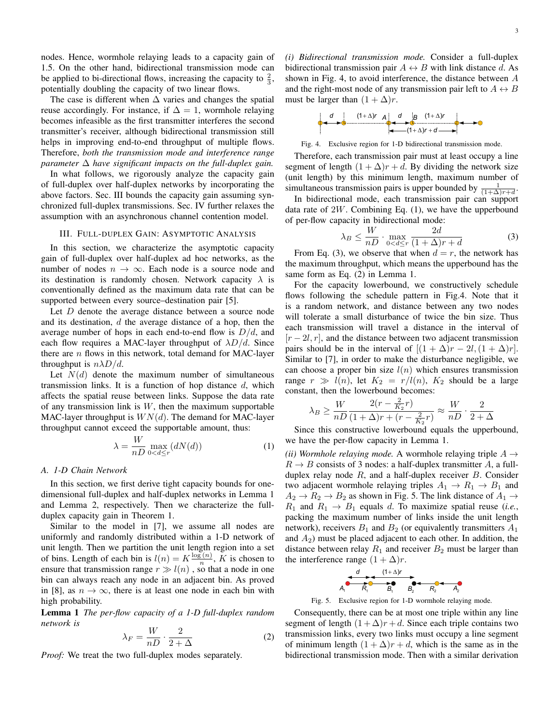nodes. Hence, wormhole relaying leads to a capacity gain of 1.5. On the other hand, bidirectional transmission mode can be applied to bi-directional flows, increasing the capacity to  $\frac{2}{3}$ , potentially doubling the capacity of two linear flows.

The case is different when  $\Delta$  varies and changes the spatial reuse accordingly. For instance, if  $\Delta = 1$ , wormhole relaying becomes infeasible as the first transmitter interferes the second transmitter's receiver, although bidirectional transmission still helps in improving end-to-end throughput of multiple flows. Therefore, *both the transmission mode and interference range parameter* ∆ *have significant impacts on the full-duplex gain.*

In what follows, we rigorously analyze the capacity gain of full-duplex over half-duplex networks by incorporating the above factors. Sec. III bounds the capacity gain assuming synchronized full-duplex transmissions. Sec. IV further relaxes the assumption with an asynchronous channel contention model.

## III. FULL-DUPLEX GAIN: ASYMPTOTIC ANALYSIS

In this section, we characterize the asymptotic capacity gain of full-duplex over half-duplex ad hoc networks, as the number of nodes  $n \to \infty$ . Each node is a source node and its destination is randomly chosen. Network capacity  $\lambda$  is conventionally defined as the maximum data rate that can be supported between every source–destination pair [5].

Let  $D$  denote the average distance between a source node and its destination,  $d$  the average distance of a hop, then the average number of hops in each end-to-end flow is  $D/d$ , and each flow requires a MAC-layer throughput of  $\lambda D/d$ . Since there are  $n$  flows in this network, total demand for MAC-layer throughput is  $n\lambda D/d$ .

Let  $N(d)$  denote the maximum number of simultaneous transmission links. It is a function of hop distance  $d$ , which affects the spatial reuse between links. Suppose the data rate of any transmission link is  $W$ , then the maximum supportable MAC-layer throughput is  $WN(d)$ . The demand for MAC-layer throughput cannot exceed the supportable amount, thus:

$$
\lambda = \frac{W}{nD} \max_{0 < d \le r} (dN(d)) \tag{1}
$$

#### *A. 1-D Chain Network*

In this section, we first derive tight capacity bounds for onedimensional full-duplex and half-duplex networks in Lemma 1 and Lemma 2, respectively. Then we characterize the fullduplex capacity gain in Theorem 1.

Similar to the model in [7], we assume all nodes are uniformly and randomly distributed within a 1-D network of unit length. Then we partition the unit length region into a set of bins. Length of each bin is  $l(n) = K \frac{\log(n)}{n}$  $\frac{f(n)}{n}$ , K is chosen to ensure that transmission range  $r \gg l(n)$ , so that a node in one bin can always reach any node in an adjacent bin. As proved in [8], as  $n \to \infty$ , there is at least one node in each bin with high probability.

Lemma 1 *The per-flow capacity of a 1-D full-duplex random network is*

$$
\lambda_F = \frac{W}{nD} \cdot \frac{2}{2 + \Delta} \tag{2}
$$

*Proof:* We treat the two full-duplex modes separately.

*(i) Bidirectional transmission mode.* Consider a full-duplex bidirectional transmission pair  $A \leftrightarrow B$  with link distance d. As shown in Fig. 4, to avoid interference, the distance between A and the right-most node of any transmission pair left to  $A \leftrightarrow B$ must be larger than  $(1 + \Delta)r$ .

*d* (1 ) *r d d* (1 ) *r A B* (1 ) *r*

Fig. 4. Exclusive region for 1-D bidirectional transmission mode.

Therefore, each transmission pair must at least occupy a line segment of length  $(1 + \Delta)r + d$ . By dividing the network size (unit length) by this minimum length, maximum number of simultaneous transmission pairs is upper bounded by  $\frac{1}{(1+\Delta)r+d}$ .

In bidirectional mode, each transmission pair can support data rate of  $2W$ . Combining Eq. (1), we have the upperbound of per-flow capacity in bidirectional mode:

$$
\lambda_B \le \frac{W}{nD} \cdot \max_{0 < d \le r} \frac{2d}{(1 + \Delta)r + d} \tag{3}
$$

From Eq. (3), we observe that when  $d = r$ , the network has the maximum throughput, which means the upperbound has the same form as Eq. (2) in Lemma 1.

For the capacity lowerbound, we constructively schedule flows following the schedule pattern in Fig.4. Note that it is a random network, and distance between any two nodes will tolerate a small disturbance of twice the bin size. Thus each transmission will travel a distance in the interval of  $[r-2l, r]$ , and the distance between two adjacent transmission pairs should be in the interval of  $[(1 + \Delta)r - 2l, (1 + \Delta)r]$ . Similar to [7], in order to make the disturbance negligible, we can choose a proper bin size  $l(n)$  which ensures transmission range  $r \gg l(n)$ , let  $K_2 = r/l(n)$ ,  $K_2$  should be a large constant, then the lowerbound becomes:

$$
\lambda_B \ge \frac{W}{nD} \frac{2(r - \frac{2}{K_2}r)}{(1 + \Delta)r + (r - \frac{2}{K_2}r)} \approx \frac{W}{nD} \cdot \frac{2}{2 + \Delta}
$$

Since this constructive lowerbound equals the upperbound, we have the per-flow capacity in Lemma 1.

*(ii) Wormhole relaying mode.* A wormhole relaying triple  $A \rightarrow$  $R \to B$  consists of 3 nodes: a half-duplex transmitter A, a fullduplex relay node  $R$ , and a half-duplex receiver  $B$ . Consider two adjacent wormhole relaying triples  $A_1 \rightarrow R_1 \rightarrow B_1$  and  $A_2 \rightarrow R_2 \rightarrow B_2$  as shown in Fig. 5. The link distance of  $A_1 \rightarrow$  $R_1$  and  $R_1 \rightarrow B_1$  equals d. To maximize spatial reuse (*i.e.*, packing the maximum number of links inside the unit length network), receivers  $B_1$  and  $B_2$  (or equivalently transmitters  $A_1$ and  $A_2$ ) must be placed adjacent to each other. In addition, the distance between relay  $R_1$  and receiver  $B_2$  must be larger than the interference range  $(1 + \Delta)r$ .



Fig. 5. Exclusive region for 1-D wormhole relaying mode.

Consequently, there can be at most one triple within any line segment of length  $(1 + \Delta)r + d$ . Since each triple contains two transmission links, every two links must occupy a line segment of minimum length  $(1 + \Delta)r + d$ , which is the same as in the bidirectional transmission mode. Then with a similar derivation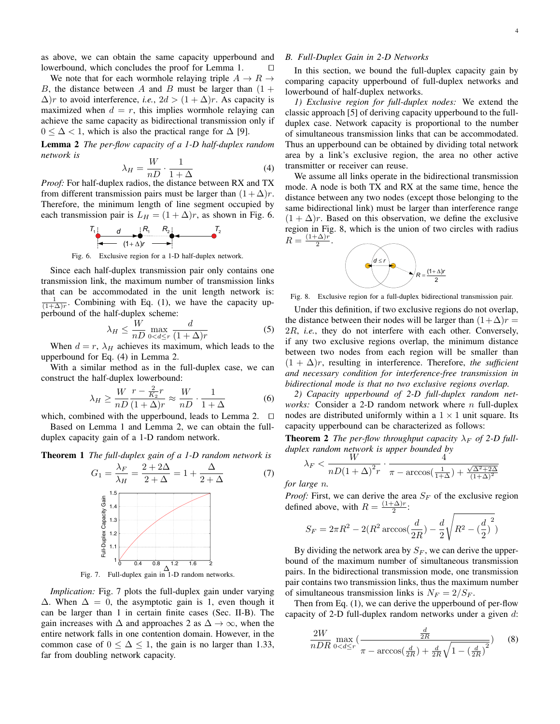as above, we can obtain the same capacity upperbound and lowerbound, which concludes the proof for Lemma 1.  $\Box$ 

We note that for each wormhole relaying triple  $A \rightarrow R \rightarrow$ B, the distance between A and B must be larger than  $(1 +$  $\Delta$ )*r* to avoid interference, *i.e.*,  $2d > (1 + \Delta)r$ . As capacity is maximized when  $d = r$ , this implies wormhole relaying can achieve the same capacity as bidirectional transmission only if  $0 \leq \Delta < 1$ , which is also the practical range for  $\Delta$  [9].

Lemma 2 *The per-flow capacity of a 1-D half-duplex random network is*

$$
\lambda_H = \frac{W}{nD} \cdot \frac{1}{1 + \Delta} \tag{4}
$$

*Proof:* For half-duplex radios, the distance between RX and TX from different transmission pairs must be larger than  $(1 + \Delta)r$ . Therefore, the minimum length of line segment occupied by each transmission pair is  $L_H = (1 + \Delta)r$ , as shown in Fig. 6.

$$
\begin{array}{c|c}\nT_1 & d & R_1 & R_2 \\
\hline\n & (1+\Delta)r & \longrightarrow\n\end{array}
$$

Fig. 6. Exclusive region for a 1-D half-duplex network.

Since each half-duplex transmission pair only contains one transmission link, the maximum number of transmission links that can be accommodated in the unit length network is:  $\frac{1}{(1+\Delta)r}$ . Combining with Eq. (1), we have the capacity upperbound of the half-duplex scheme:

$$
\lambda_H \le \frac{W}{nD} \max_{0 < d \le r} \frac{d}{(1 + \Delta)r} \tag{5}
$$

When  $d = r$ ,  $\lambda_H$  achieves its maximum, which leads to the upperbound for Eq. (4) in Lemma 2.

With a similar method as in the full-duplex case, we can construct the half-duplex lowerbound:

$$
\lambda_H \ge \frac{W}{nD} \frac{r - \frac{2}{K_2}r}{(1 + \Delta)r} \approx \frac{W}{nD} \cdot \frac{1}{1 + \Delta} \tag{6}
$$

which, combined with the upperbound, leads to Lemma 2.  $\Box$ 

Based on Lemma 1 and Lemma 2, we can obtain the fullduplex capacity gain of a 1-D random network.

Theorem 1 *The full-duplex gain of a 1-D random network is*



Fig. 7. Full-duplex gain in 1-D random networks.

*Implication:* Fig. 7 plots the full-duplex gain under varying  $\Delta$ . When  $\Delta = 0$ , the asymptotic gain is 1, even though it can be larger than 1 in certain finite cases (Sec. II-B). The gain increases with  $\Delta$  and approaches 2 as  $\Delta \rightarrow \infty$ , when the entire network falls in one contention domain. However, in the common case of  $0 \leq \Delta \leq 1$ , the gain is no larger than 1.33, far from doubling network capacity.

# *B. Full-Duplex Gain in 2-D Networks*

In this section, we bound the full-duplex capacity gain by comparing capacity upperbound of full-duplex networks and lowerbound of half-duplex networks.

*1) Exclusive region for full-duplex nodes:* We extend the classic approach [5] of deriving capacity upperbound to the fullduplex case. Network capacity is proportional to the number of simultaneous transmission links that can be accommodated. Thus an upperbound can be obtained by dividing total network area by a link's exclusive region, the area no other active transmitter or receiver can reuse.

We assume all links operate in the bidirectional transmission mode. A node is both TX and RX at the same time, hence the distance between any two nodes (except those belonging to the same bidirectional link) must be larger than interference range  $(1 + \Delta)r$ . Based on this observation, we define the exclusive region in Fig. 8, which is the union of two circles with radius  $R=\frac{(1+\Delta)r}{2}$  $\frac{(\Delta)r}{2}$ .



Fig. 8. Exclusive region for a full-duplex bidirectional transmission pair.

Under this definition, if two exclusive regions do not overlap, the distance between their nodes will be larger than  $(1+\Delta)r =$ 2R, *i.e.*, they do not interfere with each other. Conversely, if any two exclusive regions overlap, the minimum distance between two nodes from each region will be smaller than  $(1 + \Delta)r$ , resulting in interference. Therefore, *the sufficient and necessary condition for interference-free transmission in bidirectional mode is that no two exclusive regions overlap.*

*2) Capacity upperbound of 2-D full-duplex random networks:* Consider a 2-D random network where n full-duplex nodes are distributed uniformly within a  $1 \times 1$  unit square. Its capacity upperbound can be characterized as follows:

**Theorem 2** *The per-flow throughput capacity*  $\lambda_F$  *of* 2-*D fullduplex random network is upper bounded by*

$$
\lambda_F < \frac{W}{nD(1+\Delta)^2 r} \cdot \frac{4}{\pi - \arccos(\frac{1}{1+\Delta}) + \frac{\sqrt{\Delta^2 + 2\Delta}}{(1+\Delta)^2}}
$$

*for large* n*.*

*Proof:* First, we can derive the area  $S_F$  of the exclusive region defined above, with  $R = \frac{(1+\Delta)r}{2}$  $\frac{\frac{(-\Delta)}{r}}{2}$ :

$$
S_F = 2\pi R^2 - 2(R^2 \arccos(\frac{d}{2R}) - \frac{d}{2}\sqrt{R^2 - (\frac{d}{2})^2})
$$

By dividing the network area by  $S_F$ , we can derive the upperbound of the maximum number of simultaneous transmission pairs. In the bidirectional transmission mode, one transmission pair contains two transmission links, thus the maximum number of simultaneous transmission links is  $N_F = 2/S_F$ .

Then from Eq. (1), we can derive the upperbound of per-flow capacity of 2-D full-duplex random networks under a given d:

$$
\frac{2W}{nDR} \max_{0 < d \le r} \left( \frac{\frac{d}{2R}}{\pi - \arccos\left(\frac{d}{2R}\right) + \frac{d}{2R} \sqrt{1 - \left(\frac{d}{2R}\right)^2}} \right) \tag{8}
$$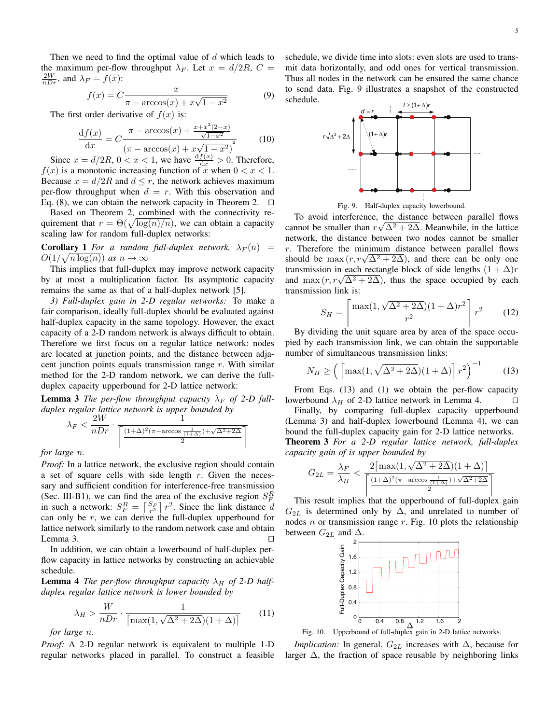Then we need to find the optimal value of d which leads to the maximum per-flow throughput  $\lambda_F$ . Let  $x = d/2R$ ,  $C =$  $\frac{2W}{nDr}$ , and  $\lambda_F = f(x)$ :

$$
f(x) = C \frac{x}{\pi - \arccos(x) + x\sqrt{1 - x^2}}\tag{9}
$$

The first order derivative of  $f(x)$  is:

$$
\frac{df(x)}{dx} = C \frac{\pi - \arccos(x) + \frac{x + x^2(2 - x)}{\sqrt{1 - x^2}}}{(\pi - \arccos(x) + x\sqrt{1 - x^2})^2}
$$
(10)

Since  $x = d/2R$ ,  $0 < x < 1$ , we have  $\frac{df(x)}{dx} > 0$ . Therefore,  $f(x)$  is a monotonic increasing function of x when  $0 < x < 1$ . Because  $x = d/2R$  and  $d \leq r$ , the network achieves maximum per-flow throughput when  $d = r$ . With this observation and Eq. (8), we can obtain the network capacity in Theorem 2.  $\Box$ 

Based on Theorem 2, combined with the connectivity requirement that  $r = \Theta(\sqrt{\log(n)/n})$ , we can obtain a capacity scaling law for random full-duplex networks:

**Corollary 1** *For a random full-duplex network,*  $\lambda_F(n)$  =  $O(1/\sqrt{n \log(n)})$  *as*  $n \to \infty$ 

This implies that full-duplex may improve network capacity by at most a multiplication factor. Its asymptotic capacity remains the same as that of a half-duplex network [5].

*3) Full-duplex gain in 2-D regular networks:* To make a fair comparison, ideally full-duplex should be evaluated against half-duplex capacity in the same topology. However, the exact capacity of a 2-D random network is always difficult to obtain. Therefore we first focus on a regular lattice network: nodes are located at junction points, and the distance between adjacent junction points equals transmission range  $r$ . With similar method for the 2-D random network, we can derive the fullduplex capacity upperbound for 2-D lattice network:

**Lemma 3** *The per-flow throughput capacity*  $\lambda_F$  *of* 2-D *fullduplex regular lattice network is upper bounded by*

1

$$
\lambda_F < \frac{2W}{nDr} \cdot \frac{1}{\sqrt{\frac{(1+\Delta)^2(\pi - \arccos\frac{1}{(1+\Delta)}) + \sqrt{\Delta^2 + 2\Delta})^2}{2}}}
$$

*for large* n*.*

*Proof:* In a lattice network, the exclusive region should contain a set of square cells with side length  $r$ . Given the necessary and sufficient condition for interference-free transmission (Sec. III-B1), we can find the area of the exclusive region  $S_F^R$ in such a network:  $S_F^R = \left[\frac{S_F}{r^2}\right] r^2$ . Since the link distance d can only be  $r$ , we can derive the full-duplex upperbound for lattice network similarly to the random network case and obtain Lemma 3.  $\Box$ 

In addition, we can obtain a lowerbound of half-duplex perflow capacity in lattice networks by constructing an achievable schedule.

**Lemma 4** *The per-flow throughput capacity*  $\lambda_H$  *of* 2-*D halfduplex regular lattice network is lower bounded by*

$$
\lambda_H > \frac{W}{nDr} \cdot \frac{1}{\left[\max(1, \sqrt{\Delta^2 + 2\Delta})(1 + \Delta)\right]}
$$
(11)

*for large* n*.*

*Proof:* A 2-D regular network is equivalent to multiple 1-D regular networks placed in parallel. To construct a feasible schedule, we divide time into slots: even slots are used to transmit data horizontally, and odd ones for vertical transmission. Thus all nodes in the network can be ensured the same chance to send data. Fig. 9 illustrates a snapshot of the constructed schedule.



Fig. 9. Half-duplex capacity lowerbound.

To avoid interference, the distance between parallel flows cannot be smaller than  $r\sqrt{\Delta^2 + 2\Delta}$ . Meanwhile, in the lattice network, the distance between two nodes cannot be smaller  $r$ . Therefore the minimum distance between parallel flows *r*. Inerefore the minimum distance between parallel flows should be max  $(r, r\sqrt{\Delta^2 + 2\Delta})$ , and there can be only one transmission in each rectangle block of side lengths  $(1 + \Delta)r$ transmission in each rectangle block or side lengths  $(1 + \Delta)r$ <br>and max  $(r, r\sqrt{\Delta^2 + 2\Delta})$ , thus the space occupied by each transmission link is: √

$$
S_H = \left\lceil \frac{\max(1, \sqrt{\Delta^2 + 2\Delta})(1 + \Delta)r^2}{r^2} \right\rceil r^2 \qquad (12)
$$

By dividing the unit square area by area of the space occupied by each transmission link, we can obtain the supportable number of simultaneous transmission links:

$$
N_H \ge \left( \left[ \max(1, \sqrt{\Delta^2 + 2\Delta})(1 + \Delta) \right] r^2 \right)^{-1} \tag{13}
$$

From Eqs. (13) and (1) we obtain the per-flow capacity lowerbound  $\lambda_H$  of 2-D lattice network in Lemma 4.  $\Box$ 

Finally, by comparing full-duplex capacity upperbound (Lemma 3) and half-duplex lowerbound (Lemma 4), we can bound the full-duplex capacity gain for 2-D lattice networks. Theorem 3 *For a 2-D regular lattice network, full-duplex capacity gain of is upper bounded by* √

$$
G_{2L} = \frac{\lambda_F}{\lambda_H} < \frac{2\left\lceil \max(1, \sqrt{\Delta^2 + 2\Delta})(1 + \Delta) \right\rceil}{\left\lceil \frac{(1 + \Delta)^2 (\pi - \arccos\frac{1}{(1 + \Delta)}) + \sqrt{\Delta^2 + 2\Delta}}{2} \right\rceil}
$$

This result implies that the upperbound of full-duplex gain  $G_{2L}$  is determined only by  $\Delta$ , and unrelated to number of nodes  $n$  or transmission range  $r$ . Fig. 10 plots the relationship between  $G_{2L}$  and  $\Delta$ .



Fig. 10. Upperbound of full-duplex gain in 2-D lattice networks.

*Implication:* In general,  $G_{2L}$  increases with  $\Delta$ , because for larger  $\Delta$ , the fraction of space reusable by neighboring links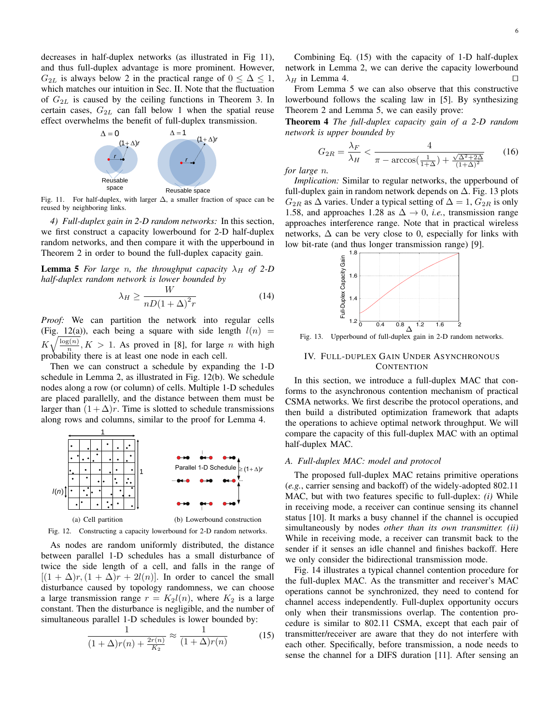decreases in half-duplex networks (as illustrated in Fig 11), and thus full-duplex advantage is more prominent. However,  $G_{2L}$  is always below 2 in the practical range of  $0 \leq \Delta \leq 1$ , which matches our intuition in Sec. II. Note that the fluctuation of  $G_{2L}$  is caused by the ceiling functions in Theorem 3. In certain cases,  $G_{2L}$  can fall below 1 when the spatial reuse effect overwhelms the benefit of full-duplex transmission.



Fig. 11. For half-duplex, with larger  $\Delta$ , a smaller fraction of space can be reused by neighboring links.

*4) Full-duplex gain in 2-D random networks:* In this section, we first construct a capacity lowerbound for 2-D half-duplex random networks, and then compare it with the upperbound in Theorem 2 in order to bound the full-duplex capacity gain.

**Lemma 5** For large n, the throughput capacity  $\lambda_H$  of 2-D *half-duplex random network is lower bounded by*

$$
\lambda_H \ge \frac{W}{nD(1+\Delta)^2 r} \tag{14}
$$

*Proof:* We can partition the network into regular cells (Fig. 12(a)), each being a square with side length  $l(n)$  =  $K\sqrt{\frac{\log(n)}{n}}$  $\frac{f(n)}{n}$ ,  $K > 1$ . As proved in [8], for large *n* with high probability there is at least one node in each cell.

Then we can construct a schedule by expanding the 1-D schedule in Lemma 2, as illustrated in Fig. 12(b). We schedule nodes along a row (or column) of cells. Multiple 1-D schedules are placed parallelly, and the distance between them must be larger than  $(1 + \Delta)r$ . Time is slotted to schedule transmissions along rows and columns, similar to the proof for Lemma 4.





As nodes are random uniformly distributed, the distance between parallel 1-D schedules has a small disturbance of twice the side length of a cell, and falls in the range of  $[(1 + \Delta)r, (1 + \Delta)r + 2l(n)]$ . In order to cancel the small disturbance caused by topology randomness, we can choose a large transmission range  $r = K_2 l(n)$ , where  $K_2$  is a large constant. Then the disturbance is negligible, and the number of simultaneous parallel 1-D schedules is lower bounded by:

$$
\frac{1}{(1+\Delta)r(n) + \frac{2r(n)}{K_2}} \approx \frac{1}{(1+\Delta)r(n)}
$$
(15)

Combining Eq. (15) with the capacity of 1-D half-duplex network in Lemma 2, we can derive the capacity lowerbound  $\lambda_H$  in Lemma 4.

From Lemma 5 we can also observe that this constructive lowerbound follows the scaling law in [5]. By synthesizing Theorem 2 and Lemma 5, we can easily prove:

Theorem 4 *The full-duplex capacity gain of a 2-D random network is upper bounded by*

$$
G_{2R} = \frac{\lambda_F}{\lambda_H} < \frac{4}{\pi - \arccos(\frac{1}{1+\Delta}) + \frac{\sqrt{\Delta^2 + 2\Delta}}{(1+\Delta)^2}} \tag{16}
$$

*for large* n*.*

*Implication:* Similar to regular networks, the upperbound of full-duplex gain in random network depends on  $\Delta$ . Fig. 13 plots  $G_{2R}$  as  $\Delta$  varies. Under a typical setting of  $\Delta = 1$ ,  $G_{2R}$  is only 1.58, and approaches 1.28 as  $\Delta \rightarrow 0$ , *i.e.*, transmission range approaches interference range. Note that in practical wireless networks,  $\Delta$  can be very close to 0, especially for links with low bit-rate (and thus longer transmission range) [9].



Fig. 13. Upperbound of full-duplex gain in 2-D random networks.

# IV. FULL-DUPLEX GAIN UNDER ASYNCHRONOUS **CONTENTION**

In this section, we introduce a full-duplex MAC that conforms to the asynchronous contention mechanism of practical CSMA networks. We first describe the protocol operations, and then build a distributed optimization framework that adapts the operations to achieve optimal network throughput. We will compare the capacity of this full-duplex MAC with an optimal half-duplex MAC.

# *A. Full-duplex MAC: model and protocol*

The proposed full-duplex MAC retains primitive operations (*e.g.*, carrier sensing and backoff) of the widely-adopted 802.11 MAC, but with two features specific to full-duplex: *(i)* While in receiving mode, a receiver can continue sensing its channel status [10]. It marks a busy channel if the channel is occupied simultaneously by nodes *other than its own transmitter. (ii)* While in receiving mode, a receiver can transmit back to the sender if it senses an idle channel and finishes backoff. Here we only consider the bidirectional transmission mode.

Fig. 14 illustrates a typical channel contention procedure for the full-duplex MAC. As the transmitter and receiver's MAC operations cannot be synchronized, they need to contend for channel access independently. Full-duplex opportunity occurs only when their transmissions overlap. The contention procedure is similar to 802.11 CSMA, except that each pair of transmitter/receiver are aware that they do not interfere with each other. Specifically, before transmission, a node needs to sense the channel for a DIFS duration [11]. After sensing an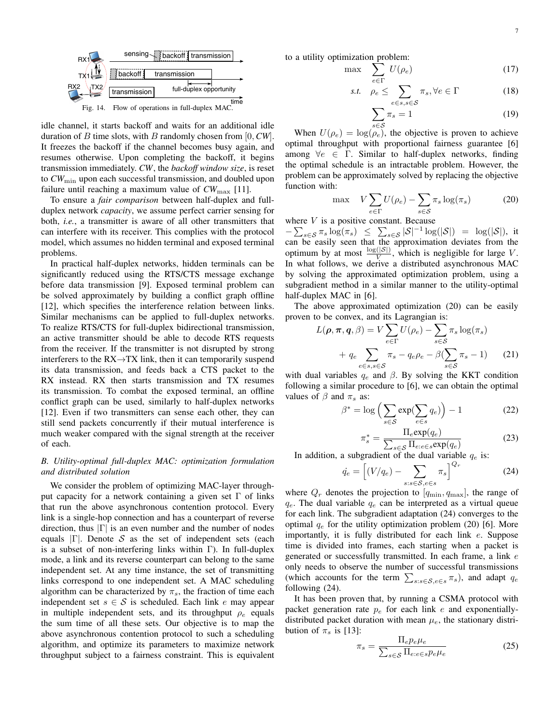

idle channel, it starts backoff and waits for an additional idle duration of B time slots, with B randomly chosen from [0, *CW*]. It freezes the backoff if the channel becomes busy again, and resumes otherwise. Upon completing the backoff, it begins transmission immediately. *CW*, the *backoff window size*, is reset to *CW*min upon each successful transmission, and doubled upon failure until reaching a maximum value of  $CW_{\text{max}}$  [11].

To ensure a *fair comparison* between half-duplex and fullduplex network *capacity*, we assume perfect carrier sensing for both, *i.e.*, a transmitter is aware of all other transmitters that can interfere with its receiver. This complies with the protocol model, which assumes no hidden terminal and exposed terminal problems.

In practical half-duplex networks, hidden terminals can be significantly reduced using the RTS/CTS message exchange before data transmission [9]. Exposed terminal problem can be solved approximately by building a conflict graph offline [12], which specifies the interference relation between links. Similar mechanisms can be applied to full-duplex networks. To realize RTS/CTS for full-duplex bidirectional transmission, an active transmitter should be able to decode RTS requests from the receiver. If the transmitter is not disrupted by strong interferers to the  $RX \rightarrow TX$  link, then it can temporarily suspend its data transmission, and feeds back a CTS packet to the RX instead. RX then starts transmission and TX resumes its transmission. To combat the exposed terminal, an offline conflict graph can be used, similarly to half-duplex networks [12]. Even if two transmitters can sense each other, they can still send packets concurrently if their mutual interference is much weaker compared with the signal strength at the receiver of each.

# *B. Utility-optimal full-duplex MAC: optimization formulation and distributed solution*

We consider the problem of optimizing MAC-layer throughput capacity for a network containing a given set  $\Gamma$  of links that run the above asynchronous contention protocol. Every link is a single-hop connection and has a counterpart of reverse direction, thus  $|\Gamma|$  is an even number and the number of nodes equals  $|\Gamma|$ . Denote S as the set of independent sets (each is a subset of non-interfering links within Γ). In full-duplex mode, a link and its reverse counterpart can belong to the same independent set. At any time instance, the set of transmitting links correspond to one independent set. A MAC scheduling algorithm can be characterized by  $\pi_s$ , the fraction of time each independent set  $s \in S$  is scheduled. Each link e may appear in multiple independent sets, and its throughput  $\rho_e$  equals the sum time of all these sets. Our objective is to map the above asynchronous contention protocol to such a scheduling algorithm, and optimize its parameters to maximize network throughput subject to a fairness constraint. This is equivalent to a utility optimization problem:

$$
\max \sum_{e \in \Gamma} U(\rho_e) \tag{17}
$$

s.t. 
$$
\rho_e \le \sum_{e \in s, s \in \mathcal{S}} \pi_s, \forall e \in \Gamma
$$
 (18)

$$
\sum_{s \in S} \pi_s = 1 \tag{19}
$$

When  $U(\rho_e) = \log(\rho_e)$ , the objective is proven to achieve optimal throughput with proportional fairness guarantee [6] among  $\forall e \in \Gamma$ . Similar to half-duplex networks, finding the optimal schedule is an intractable problem. However, the problem can be approximately solved by replacing the objective function with:

$$
\max \quad V \sum_{e \in \Gamma} U(\rho_e) - \sum_{s \in \mathcal{S}} \pi_s \log(\pi_s) \tag{20}
$$

where  $V$  is a positive constant. Because

 $-\sum_{s\in\mathcal{S}}\pi_s\log(\pi_s) \leq \sum_{s\in\mathcal{S}}|\mathcal{S}|^{-1}\log(|\mathcal{S}|) = \log(|\mathcal{S}|)$ , it can be easily seen that the approximation deviates from the optimum by at most  $\frac{\log(|\mathcal{S}|)}{V}$ , which is negligible for large V. In what follows, we derive a distributed asynchronous MAC by solving the approximated optimization problem, using a subgradient method in a similar manner to the utility-optimal half-duplex MAC in [6].

The above approximated optimization (20) can be easily proven to be convex, and its Lagrangian is:

$$
L(\rho, \pi, q, \beta) = V \sum_{e \in \Gamma} U(\rho_e) - \sum_{s \in \mathcal{S}} \pi_s \log(\pi_s)
$$
  
+  $q_e \sum_{e \in s, s \in \mathcal{S}} \pi_s - q_e \rho_e - \beta (\sum_{s \in \mathcal{S}} \pi_s - 1)$  (21)

with dual variables  $q_e$  and  $\beta$ . By solving the KKT condition following a similar procedure to [6], we can obtain the optimal values of  $\beta$  and  $\pi_s$  as:

$$
\beta^* = \log \left( \sum_{s \in \mathcal{S}} \exp(\sum_{e \in s} q_e) \right) - 1 \tag{22}
$$

$$
\pi_s^* = \frac{\Pi_e \exp(q_e)}{\sum_{s \in \mathcal{S}} \Pi_{e:e \in s} \exp(q_e)}\tag{23}
$$

In addition, a subgradient of the dual variable  $q_e$  is:

$$
\dot{q}_e = \left[ (V/q_e) - \sum_{s:s \in \mathcal{S}, e \in s} \pi_s \right]^{Q_r} \tag{24}
$$

where  $Q_r$  denotes the projection to  $[q_{\min}, q_{\max}]$ , the range of  $q_e$ . The dual variable  $q_e$  can be interpreted as a virtual queue for each link. The subgradient adaptation (24) converges to the optimal  $q_e$  for the utility optimization problem (20) [6]. More importantly, it is fully distributed for each link e. Suppose time is divided into frames, each starting when a packet is generated or successfully transmitted. In each frame, a link e only needs to observe the number of successful transmissions (which accounts for the term  $\sum_{s:s\in\mathcal{S},e\in s}\pi_s$ ), and adapt  $q_e$ following (24).

It has been proven that, by running a CSMA protocol with packet generation rate  $p_e$  for each link e and exponentiallydistributed packet duration with mean  $\mu_e$ , the stationary distribution of  $\pi_s$  is [13]:

$$
\pi_s = \frac{\Pi_e p_e \mu_e}{\sum_{s \in \mathcal{S}} \Pi_{e:e \in s} p_e \mu_e} \tag{25}
$$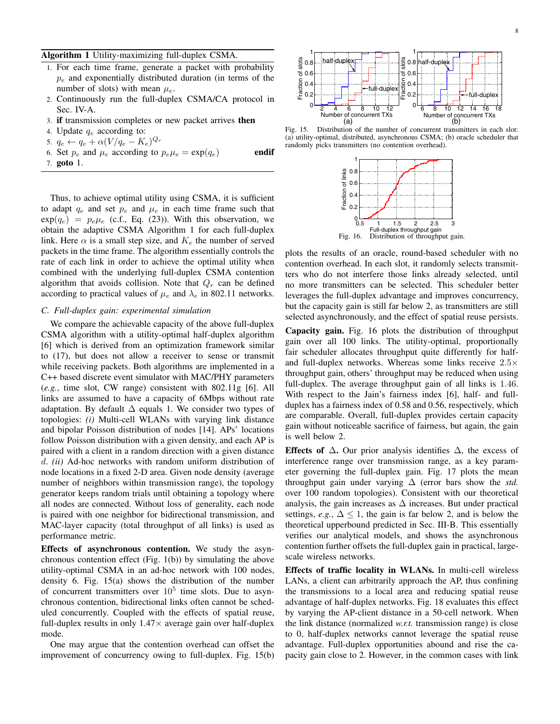# Algorithm 1 Utility-maximizing full-duplex CSMA.

- 1. For each time frame, generate a packet with probability  $p_e$  and exponentially distributed duration (in terms of the number of slots) with mean  $\mu_e$ .
- 2. Continuously run the full-duplex CSMA/CA protocol in Sec. IV-A.
- 3. if transmission completes or new packet arrives then
- 4. Update  $q_e$  according to:
- 5.  $q_e \leftarrow q_e + \alpha (V/q_e K_e)^{Q_r}$
- 6. Set  $p_e$  and  $\mu_e$  according to  $p_e\mu_e = \exp(q_e)$  endif
- 7. goto 1.

Thus, to achieve optimal utility using CSMA, it is sufficient to adapt  $q_e$  and set  $p_e$  and  $\mu_e$  in each time frame such that  $\exp(q_e) = p_e \mu_e$  (c.f., Eq. (23)). With this observation, we obtain the adaptive CSMA Algorithm 1 for each full-duplex link. Here  $\alpha$  is a small step size, and  $K_e$  the number of served packets in the time frame. The algorithm essentially controls the rate of each link in order to achieve the optimal utility when combined with the underlying full-duplex CSMA contention algorithm that avoids collision. Note that  $Q_r$  can be defined according to practical values of  $\mu_e$  and  $\lambda_e$  in 802.11 networks.

# *C. Full-duplex gain: experimental simulation*

We compare the achievable capacity of the above full-duplex CSMA algorithm with a utility-optimal half-duplex algorithm [6] which is derived from an optimization framework similar to (17), but does not allow a receiver to sense or transmit while receiving packets. Both algorithms are implemented in a C++ based discrete event simulator with MAC/PHY parameters (*e.g.*, time slot, CW range) consistent with 802.11g [6]. All links are assumed to have a capacity of 6Mbps without rate adaptation. By default  $\Delta$  equals 1. We consider two types of topologies: *(i)* Multi-cell WLANs with varying link distance and bipolar Poisson distribution of nodes [14]. APs' locations follow Poisson distribution with a given density, and each AP is paired with a client in a random direction with a given distance d. *(ii)* Ad-hoc networks with random uniform distribution of node locations in a fixed 2-D area. Given node density (average number of neighbors within transmission range), the topology generator keeps random trials until obtaining a topology where all nodes are connected. Without loss of generality, each node is paired with one neighbor for bidirectional transmission, and MAC-layer capacity (total throughput of all links) is used as performance metric.

Effects of asynchronous contention. We study the asynchronous contention effect (Fig. 1(b)) by simulating the above utility-optimal CSMA in an ad-hoc network with 100 nodes, density 6. Fig. 15(a) shows the distribution of the number of concurrent transmitters over  $10^5$  time slots. Due to asynchronous contention, bidirectional links often cannot be scheduled concurrently. Coupled with the effects of spatial reuse, full-duplex results in only  $1.47\times$  average gain over half-duplex mode.

One may argue that the contention overhead can offset the improvement of concurrency owing to full-duplex. Fig. 15(b)



Fig. 15. Distribution of the number of concurrent transmitters in each slot: (a) utility-optimal, distributed, asynchronous CSMA; (b) oracle scheduler that randomly picks transmitters (no contention overhead).



plots the results of an oracle, round-based scheduler with no contention overhead. In each slot, it randomly selects transmitters who do not interfere those links already selected, until no more transmitters can be selected. This scheduler better leverages the full-duplex advantage and improves concurrency, but the capacity gain is still far below 2, as transmitters are still selected asynchronously, and the effect of spatial reuse persists.

Capacity gain. Fig. 16 plots the distribution of throughput gain over all 100 links. The utility-optimal, proportionally fair scheduler allocates throughput quite differently for halfand full-duplex networks. Whereas some links receive  $2.5\times$ throughput gain, others' throughput may be reduced when using full-duplex. The average throughput gain of all links is 1.46. With respect to the Jain's fairness index [6], half- and fullduplex has a fairness index of 0.58 and 0.56, respectively, which are comparable. Overall, full-duplex provides certain capacity gain without noticeable sacrifice of fairness, but again, the gain is well below 2.

Effects of  $\Delta$ . Our prior analysis identifies  $\Delta$ , the excess of interference range over transmission range, as a key parameter governing the full-duplex gain. Fig. 17 plots the mean throughput gain under varying  $\Delta$  (error bars show the *std.* over 100 random topologies). Consistent with our theoretical analysis, the gain increases as  $\Delta$  increases. But under practical settings, *e.g.*,  $\Delta \leq 1$ , the gain is far below 2, and is below the theoretical upperbound predicted in Sec. III-B. This essentially verifies our analytical models, and shows the asynchronous contention further offsets the full-duplex gain in practical, largescale wireless networks.

Effects of traffic locality in WLANs. In multi-cell wireless LANs, a client can arbitrarily approach the AP, thus confining the transmissions to a local area and reducing spatial reuse advantage of half-duplex networks. Fig. 18 evaluates this effect by varying the AP-client distance in a 50-cell network. When the link distance (normalized *w.r.t.* transmission range) is close to 0, half-duplex networks cannot leverage the spatial reuse advantage. Full-duplex opportunities abound and rise the capacity gain close to 2. However, in the common cases with link